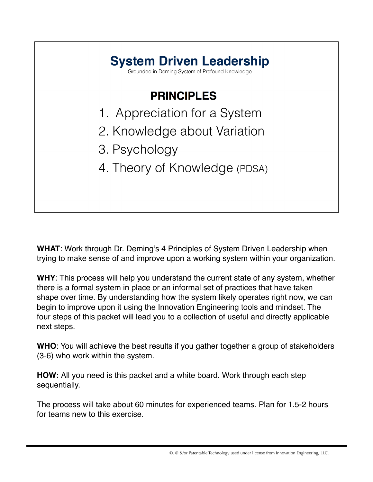

**WHAT**: Work through Dr. Deming's 4 Principles of System Driven Leadership when trying to make sense of and improve upon a working system within your organization.

**WHY**: This process will help you understand the current state of any system, whether there is a formal system in place or an informal set of practices that have taken shape over time. By understanding how the system likely operates right now, we can begin to improve upon it using the Innovation Engineering tools and mindset. The four steps of this packet will lead you to a collection of useful and directly applicable next steps.

**WHO**: You will achieve the best results if you gather together a group of stakeholders (3-6) who work within the system.

**HOW:** All you need is this packet and a white board. Work through each step sequentially.

The process will take about 60 minutes for experienced teams. Plan for 1.5-2 hours for teams new to this exercise.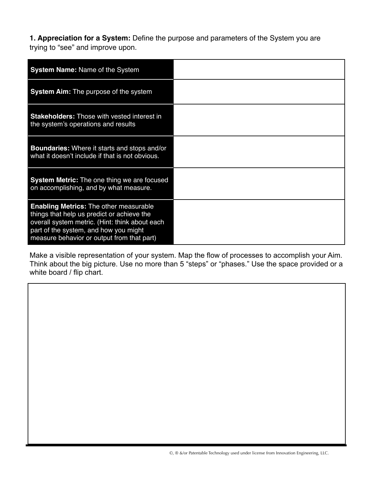**1. Appreciation for a System:** Define the purpose and parameters of the System you are trying to "see" and improve upon.

| <b>System Name: Name of the System</b>                                                                                                                                                                                               |  |
|--------------------------------------------------------------------------------------------------------------------------------------------------------------------------------------------------------------------------------------|--|
| <b>System Aim:</b> The purpose of the system                                                                                                                                                                                         |  |
| <b>Stakeholders:</b> Those with vested interest in<br>the system's operations and results                                                                                                                                            |  |
| <b>Boundaries:</b> Where it starts and stops and/or<br>what it doesn't include if that is not obvious.                                                                                                                               |  |
| <b>System Metric:</b> The one thing we are focused<br>on accomplishing, and by what measure.                                                                                                                                         |  |
| <b>Enabling Metrics: The other measurable</b><br>things that help us predict or achieve the<br>overall system metric. (Hint: think about each<br>part of the system, and how you might<br>measure behavior or output from that part) |  |

Make a visible representation of your system. Map the flow of processes to accomplish your Aim. Think about the big picture. Use no more than 5 "steps" or "phases." Use the space provided or a white board / flip chart.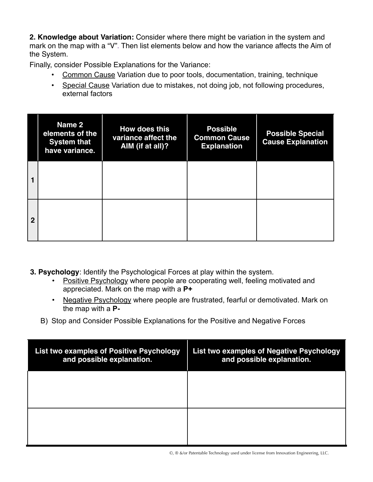**2. Knowledge about Variation:** Consider where there might be variation in the system and mark on the map with a "V". Then list elements below and how the variance affects the Aim of the System.

Finally, consider Possible Explanations for the Variance:

- Common Cause Variation due to poor tools, documentation, training, technique
- Special Cause Variation due to mistakes, not doing job, not following procedures, external factors

|                | Name 2<br>elements of the<br><b>System that</b><br>have variance. | How does this<br>variance affect the<br>AIM (if at all)? | <b>Possible</b><br><b>Common Cause</b><br><b>Explanation</b> | <b>Possible Special</b><br><b>Cause Explanation</b> |
|----------------|-------------------------------------------------------------------|----------------------------------------------------------|--------------------------------------------------------------|-----------------------------------------------------|
| 1              |                                                                   |                                                          |                                                              |                                                     |
| $\overline{2}$ |                                                                   |                                                          |                                                              |                                                     |

- **3. Psychology**: Identify the Psychological Forces at play within the system.
	- Positive Psychology where people are cooperating well, feeling motivated and appreciated. Mark on the map with a **P+**
	- Negative Psychology where people are frustrated, fearful or demotivated. Mark on the map with a **P-**
	- B) Stop and Consider Possible Explanations for the Positive and Negative Forces

| <b>List two examples of Positive Psychology</b><br>and possible explanation. | List two examples of Negative Psychology<br>and possible explanation. |
|------------------------------------------------------------------------------|-----------------------------------------------------------------------|
|                                                                              |                                                                       |
|                                                                              |                                                                       |